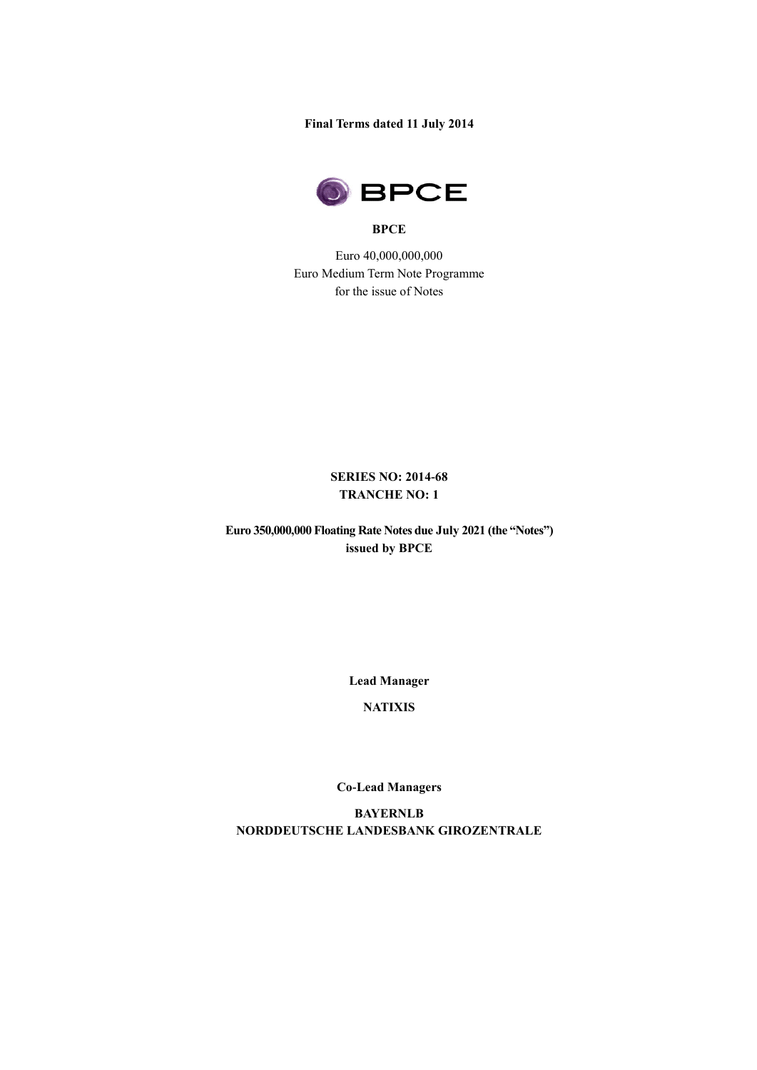**Final Terms dated 11 July 2014**



#### **BPCE**

Euro 40,000,000,000 Euro Medium Term Note Programme for the issue of Notes

# **SERIES NO: 2014-68 TRANCHE NO: 1**

**Euro 350,000,000 Floating Rate Notes due July 2021 (the "Notes") issued by BPCE** 

**Lead Manager**

**NATIXIS**

**Co-Lead Managers**

**BAYERNLB NORDDEUTSCHE LANDESBANK GIROZENTRALE**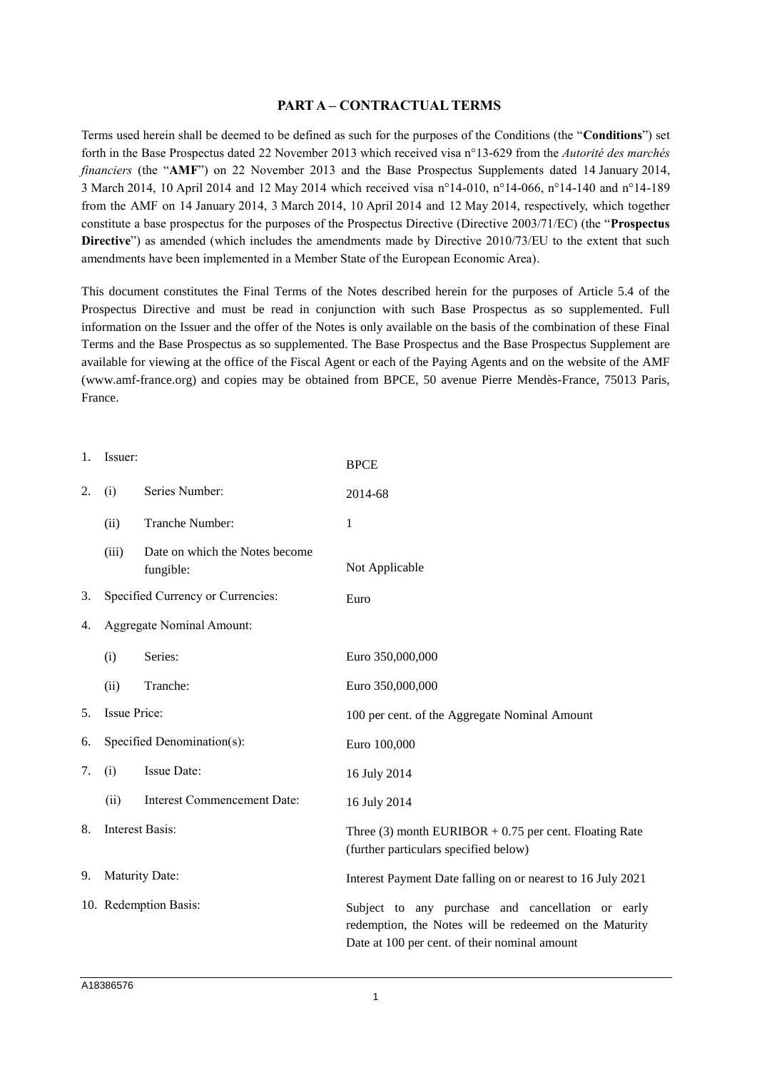# **PART A – CONTRACTUAL TERMS**

Terms used herein shall be deemed to be defined as such for the purposes of the Conditions (the "**Conditions**") set forth in the Base Prospectus dated 22 November 2013 which received visa n°13-629 from the *Autorité des marchés financiers* (the "**AMF**") on 22 November 2013 and the Base Prospectus Supplements dated 14 January 2014, 3 March 2014, 10 April 2014 and 12 May 2014 which received visa n°14-010, n°14-066, n°14-140 and n°14-189 from the AMF on 14 January 2014, 3 March 2014, 10 April 2014 and 12 May 2014, respectively, which together constitute a base prospectus for the purposes of the Prospectus Directive (Directive 2003/71/EC) (the "**Prospectus Directive**") as amended (which includes the amendments made by Directive 2010/73/EU to the extent that such amendments have been implemented in a Member State of the European Economic Area).

This document constitutes the Final Terms of the Notes described herein for the purposes of Article 5.4 of the Prospectus Directive and must be read in conjunction with such Base Prospectus as so supplemented. Full information on the Issuer and the offer of the Notes is only available on the basis of the combination of these Final Terms and the Base Prospectus as so supplemented. The Base Prospectus and the Base Prospectus Supplement are available for viewing at the office of the Fiscal Agent or each of the Paying Agents and on the website of the AMF (www.amf-france.org) and copies may be obtained from BPCE, 50 avenue Pierre Mendès-France, 75013 Paris, France.

| 1. | Issuer:                           |                                             | <b>BPCE</b>                                                                                                                                                  |  |
|----|-----------------------------------|---------------------------------------------|--------------------------------------------------------------------------------------------------------------------------------------------------------------|--|
| 2. | (i)                               | Series Number:                              | 2014-68                                                                                                                                                      |  |
|    | (ii)                              | Tranche Number:                             | 1                                                                                                                                                            |  |
|    | (iii)                             | Date on which the Notes become<br>fungible: | Not Applicable                                                                                                                                               |  |
| 3. | Specified Currency or Currencies: |                                             | Euro                                                                                                                                                         |  |
| 4. | <b>Aggregate Nominal Amount:</b>  |                                             |                                                                                                                                                              |  |
|    | (i)                               | Series:                                     | Euro 350,000,000                                                                                                                                             |  |
|    | (ii)                              | Tranche:                                    | Euro 350,000,000                                                                                                                                             |  |
| 5. | Issue Price:                      |                                             | 100 per cent. of the Aggregate Nominal Amount                                                                                                                |  |
| 6. | Specified Denomination(s):        |                                             | Euro 100,000                                                                                                                                                 |  |
| 7. | (i)                               | Issue Date:                                 | 16 July 2014                                                                                                                                                 |  |
|    | (ii)                              | <b>Interest Commencement Date:</b>          | 16 July 2014                                                                                                                                                 |  |
| 8. | <b>Interest Basis:</b>            |                                             | Three (3) month EURIBOR $+ 0.75$ per cent. Floating Rate<br>(further particulars specified below)                                                            |  |
| 9. | Maturity Date:                    |                                             | Interest Payment Date falling on or nearest to 16 July 2021                                                                                                  |  |
|    |                                   | 10. Redemption Basis:                       | Subject to any purchase and cancellation or early<br>redemption, the Notes will be redeemed on the Maturity<br>Date at 100 per cent. of their nominal amount |  |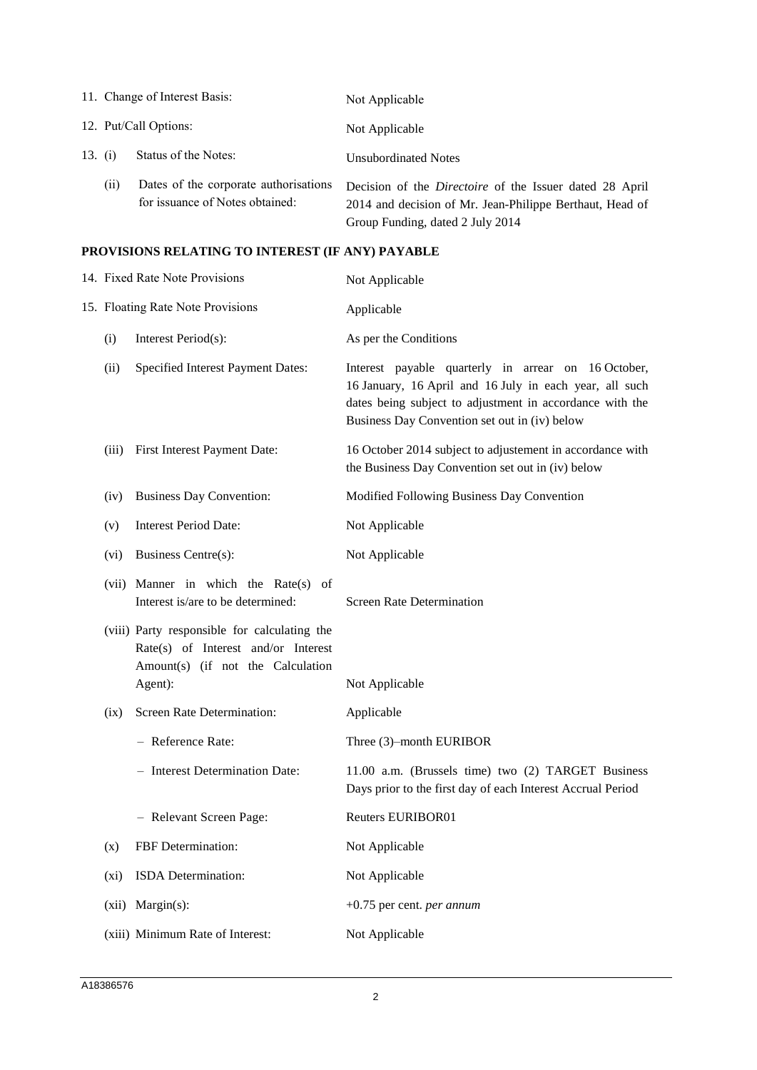|           |                       | 11. Change of Interest Basis:                                            | Not Applicable                                                                                                                                                 |
|-----------|-----------------------|--------------------------------------------------------------------------|----------------------------------------------------------------------------------------------------------------------------------------------------------------|
|           | 12. Put/Call Options: |                                                                          | Not Applicable                                                                                                                                                 |
| 13. $(i)$ |                       | Status of the Notes:                                                     | <b>Unsubordinated Notes</b>                                                                                                                                    |
|           | (i)                   | Dates of the corporate authorisations<br>for issuance of Notes obtained: | Decision of the <i>Directoire</i> of the Issuer dated 28 April<br>2014 and decision of Mr. Jean-Philippe Berthaut, Head of<br>Group Funding, dated 2 July 2014 |

# **PROVISIONS RELATING TO INTEREST (IF ANY) PAYABLE**

| 14. Fixed Rate Note Provisions    |                                                                                                                                     | Not Applicable                                                                                                                                                                                                              |  |
|-----------------------------------|-------------------------------------------------------------------------------------------------------------------------------------|-----------------------------------------------------------------------------------------------------------------------------------------------------------------------------------------------------------------------------|--|
| 15. Floating Rate Note Provisions |                                                                                                                                     | Applicable                                                                                                                                                                                                                  |  |
| (i)                               | Interest Period(s):                                                                                                                 | As per the Conditions                                                                                                                                                                                                       |  |
| (ii)                              | Specified Interest Payment Dates:                                                                                                   | Interest payable quarterly in arrear on 16 October,<br>16 January, 16 April and 16 July in each year, all such<br>dates being subject to adjustment in accordance with the<br>Business Day Convention set out in (iv) below |  |
| (iii)                             | First Interest Payment Date:                                                                                                        | 16 October 2014 subject to adjustement in accordance with<br>the Business Day Convention set out in (iv) below                                                                                                              |  |
| (iv)                              | <b>Business Day Convention:</b>                                                                                                     | Modified Following Business Day Convention                                                                                                                                                                                  |  |
| (v)                               | <b>Interest Period Date:</b>                                                                                                        | Not Applicable                                                                                                                                                                                                              |  |
| $(v_i)$                           | <b>Business Centre(s):</b>                                                                                                          | Not Applicable                                                                                                                                                                                                              |  |
|                                   | (vii) Manner in which the Rate(s) of<br>Interest is/are to be determined:                                                           | <b>Screen Rate Determination</b>                                                                                                                                                                                            |  |
|                                   | (viii) Party responsible for calculating the<br>Rate(s) of Interest and/or Interest<br>Amount(s) (if not the Calculation<br>Agent): | Not Applicable                                                                                                                                                                                                              |  |
| (ix)                              | Screen Rate Determination:                                                                                                          | Applicable                                                                                                                                                                                                                  |  |
|                                   | - Reference Rate:                                                                                                                   | Three (3)-month EURIBOR                                                                                                                                                                                                     |  |
|                                   | - Interest Determination Date:                                                                                                      | 11.00 a.m. (Brussels time) two (2) TARGET Business<br>Days prior to the first day of each Interest Accrual Period                                                                                                           |  |
|                                   | - Relevant Screen Page:                                                                                                             | <b>Reuters EURIBOR01</b>                                                                                                                                                                                                    |  |
| (x)                               | FBF Determination:                                                                                                                  | Not Applicable                                                                                                                                                                                                              |  |
| (xi)                              | ISDA Determination:                                                                                                                 | Not Applicable                                                                                                                                                                                                              |  |
| (xii)                             | $Margin(s)$ :                                                                                                                       | $+0.75$ per cent. <i>per annum</i>                                                                                                                                                                                          |  |
|                                   | (xiii) Minimum Rate of Interest:                                                                                                    | Not Applicable                                                                                                                                                                                                              |  |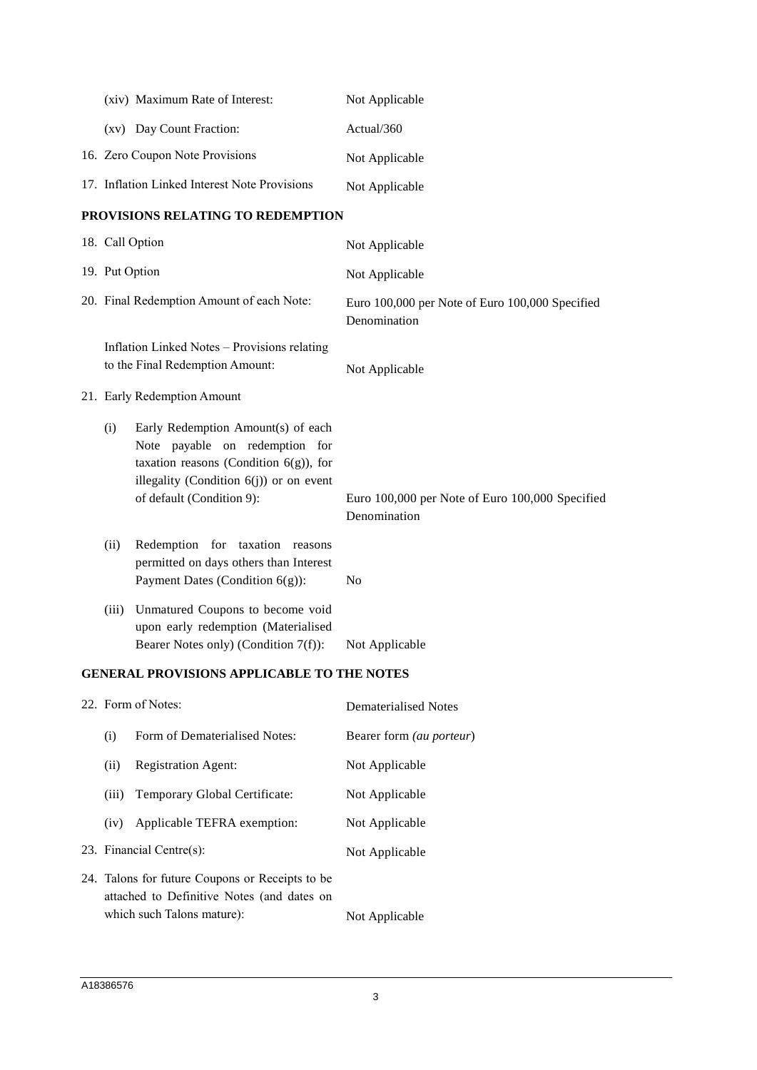|                | (xiv) Maximum Rate of Interest:                                                                                                                                                              | Not Applicable                                                  |
|----------------|----------------------------------------------------------------------------------------------------------------------------------------------------------------------------------------------|-----------------------------------------------------------------|
|                | (xv) Day Count Fraction:                                                                                                                                                                     | Actual/360                                                      |
|                | 16. Zero Coupon Note Provisions                                                                                                                                                              | Not Applicable                                                  |
|                | 17. Inflation Linked Interest Note Provisions                                                                                                                                                | Not Applicable                                                  |
|                | PROVISIONS RELATING TO REDEMPTION                                                                                                                                                            |                                                                 |
|                | 18. Call Option                                                                                                                                                                              | Not Applicable                                                  |
| 19. Put Option |                                                                                                                                                                                              | Not Applicable                                                  |
|                | 20. Final Redemption Amount of each Note:                                                                                                                                                    | Euro 100,000 per Note of Euro 100,000 Specified<br>Denomination |
|                | Inflation Linked Notes - Provisions relating<br>to the Final Redemption Amount:                                                                                                              | Not Applicable                                                  |
|                | 21. Early Redemption Amount                                                                                                                                                                  |                                                                 |
| (i)            | Early Redemption Amount(s) of each<br>Note payable on redemption for<br>taxation reasons (Condition $6(g)$ ), for<br>illegality (Condition $6(j)$ ) or on event<br>of default (Condition 9): | Euro 100,000 per Note of Euro 100,000 Specified<br>Denomination |
| (ii)           | Redemption for taxation reasons<br>permitted on days others than Interest<br>Payment Dates (Condition $6(g)$ ):                                                                              | N <sub>0</sub>                                                  |
| (iii)          | Unmatured Coupons to become void<br>upon early redemption (Materialised<br>Bearer Notes only) (Condition 7(f)):                                                                              | Not Applicable                                                  |

# **GENERAL PROVISIONS APPLICABLE TO THE NOTES**

| 22. Form of Notes:                                                                             |                               | Dematerialised Notes            |
|------------------------------------------------------------------------------------------------|-------------------------------|---------------------------------|
| (i)                                                                                            | Form of Dematerialised Notes: | Bearer form <i>(au porteur)</i> |
| (ii)                                                                                           | <b>Registration Agent:</b>    | Not Applicable                  |
| (iii)                                                                                          | Temporary Global Certificate: | Not Applicable                  |
| (iv)                                                                                           | Applicable TEFRA exemption:   | Not Applicable                  |
| 23. Financial Centre $(s)$ :                                                                   |                               | Not Applicable                  |
| 24. Talons for future Coupons or Receipts to be.<br>attached to Definitive Notes (and dates on |                               |                                 |
| which such Talons mature):                                                                     |                               | Not Applicable                  |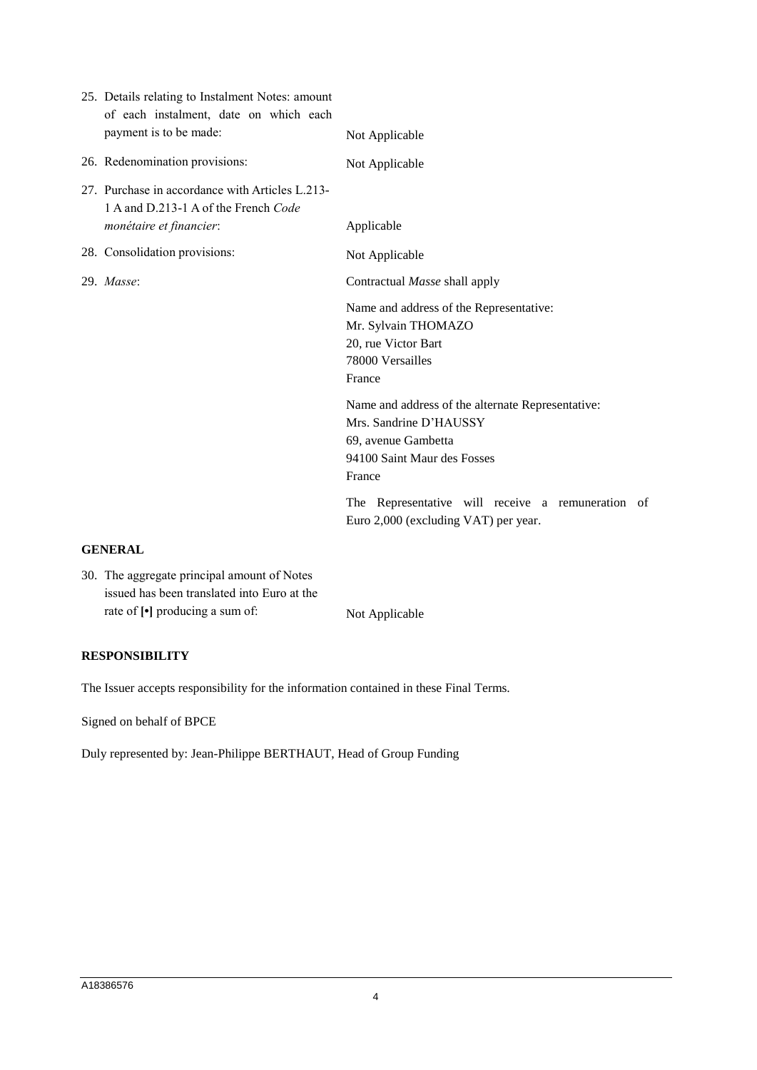| 25. Details relating to Instalment Notes: amount<br>of each instalment, date on which each<br>payment is to be made: | Not Applicable                                                                                                                              |
|----------------------------------------------------------------------------------------------------------------------|---------------------------------------------------------------------------------------------------------------------------------------------|
| 26. Redenomination provisions:                                                                                       | Not Applicable                                                                                                                              |
| 27. Purchase in accordance with Articles L.213-<br>1 A and D.213-1 A of the French Code<br>monétaire et financier:   | Applicable                                                                                                                                  |
| 28. Consolidation provisions:                                                                                        |                                                                                                                                             |
|                                                                                                                      | Not Applicable                                                                                                                              |
| 29. Masse:                                                                                                           | Contractual Masse shall apply                                                                                                               |
|                                                                                                                      | Name and address of the Representative:<br>Mr. Sylvain THOMAZO<br>20, rue Victor Bart<br>78000 Versailles<br>France                         |
|                                                                                                                      | Name and address of the alternate Representative:<br>Mrs. Sandrine D'HAUSSY<br>69, avenue Gambetta<br>94100 Saint Maur des Fosses<br>France |
|                                                                                                                      | The Representative will receive a remuneration of<br>Euro 2,000 (excluding VAT) per year.                                                   |

# **GENERAL**

30. The aggregate principal amount of Notes issued has been translated into Euro at the rate of  $\lceil \cdot \rceil$  producing a sum of: Not Applicable

# **RESPONSIBILITY**

The Issuer accepts responsibility for the information contained in these Final Terms.

Signed on behalf of BPCE

Duly represented by: Jean-Philippe BERTHAUT, Head of Group Funding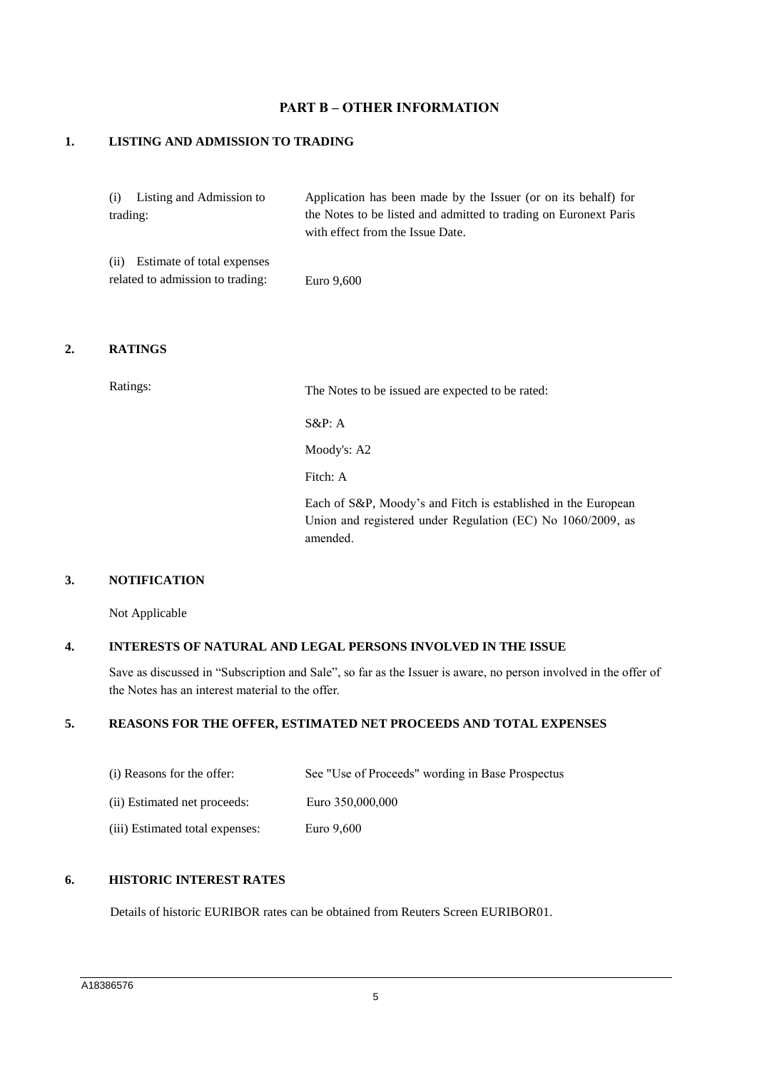# **PART B – OTHER INFORMATION**

#### **1. LISTING AND ADMISSION TO TRADING**

| (i) Listing and Admission to     | Application has been made by the Issuer (or on its behalf) for   |
|----------------------------------|------------------------------------------------------------------|
| trading:                         | the Notes to be listed and admitted to trading on Euronext Paris |
|                                  | with effect from the Issue Date.                                 |
| (ii) Estimate of total expenses  |                                                                  |
| related to admission to trading: | Euro 9,600                                                       |

#### **2. RATINGS**

Ratings: The Notes to be issued are expected to be rated:

S&P: A

Moody's: A2

Fitch: A

Each of S&P, Moody's and Fitch is established in the European Union and registered under Regulation (EC) No 1060/2009, as amended.

# **3. NOTIFICATION**

Not Applicable

#### **4. INTERESTS OF NATURAL AND LEGAL PERSONS INVOLVED IN THE ISSUE**

Save as discussed in "Subscription and Sale", so far as the Issuer is aware, no person involved in the offer of the Notes has an interest material to the offer.

# **5. REASONS FOR THE OFFER, ESTIMATED NET PROCEEDS AND TOTAL EXPENSES**

| (i) Reasons for the offer:      | See "Use of Proceeds" wording in Base Prospectus |
|---------------------------------|--------------------------------------------------|
| (ii) Estimated net proceeds:    | Euro 350,000,000                                 |
| (iii) Estimated total expenses: | Euro 9,600                                       |

# **6. HISTORIC INTEREST RATES**

Details of historic EURIBOR rates can be obtained from Reuters Screen EURIBOR01.